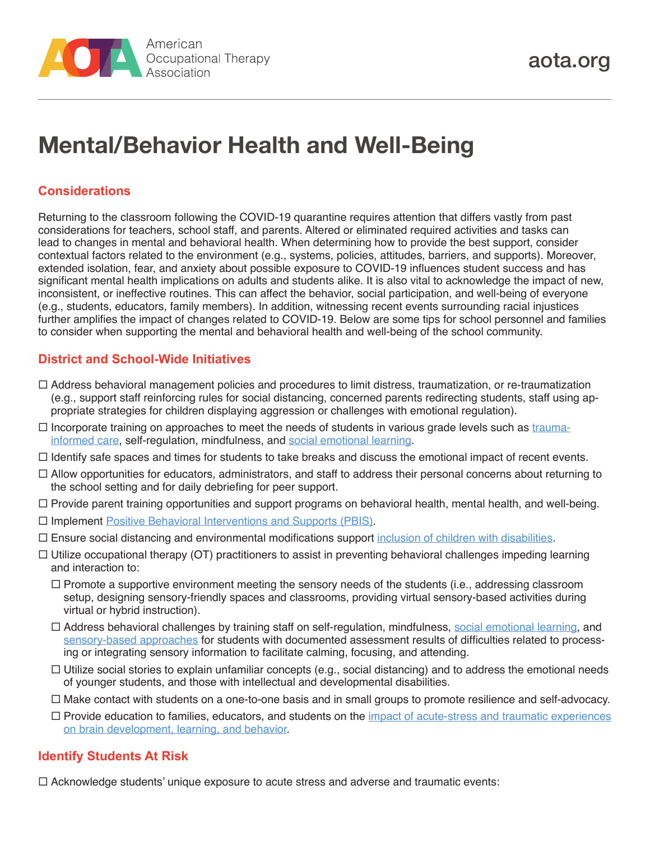

# **Mental/Behavior Health and Well-Being**

#### **Considerations**

Returning to the classroom following the COVID-19 quarantine requires attention that differs vastly from past considerations for teachers, school staff, and parents. Altered or eliminated required activities and tasks can lead to changes in mental and behavioral health. When determining how to provide the best support, consider contextual factors related to the environment (e.g., systems, policies, attitudes, barriers, and supports). Moreover, extended isolation, fear, and anxiety about possible exposure to COVID-19 influences student success and has significant mental health implications on adults and students alike. It is also vital to acknowledge the impact of new, inconsistent, or ineffective routines. This can affect the behavior, social participation, and well-being of everyone (e.g., students, educators, family members). In addition, witnessing recent events surrounding racial injustices further amplifies the impact of changes related to COVID-19. Below are some tips for school personnel and families to consider when supporting the mental and behavioral health and well-being of the school community.

#### **District and School-Wide Initiatives**

- Address behavioral management policies and procedures to limit distress, traumatization, or re-traumatization (e.g., support staff reinforcing rules for social distancing, concerned parents redirecting students, staff using appropriate strategies for children displaying aggression or challenges with emotional regulation).
- $\Box$  Incorporate training on approaches to meet the needs of students in various grade levels such as [trauma](https://www.aota.org/~/media/Corporate/Files/Publications/CE-Articles/CE-Article-May-2019-Trauma)[informed care](https://www.aota.org/~/media/Corporate/Files/Publications/CE-Articles/CE-Article-May-2019-Trauma), self-regulation, mindfulness, and [social emotional learning.](https://www.aota.org/~/media/Corporate/Files/Practice/Children/SchoolMHToolkit/Social-and-Emotional-Learning-Info-Sheet.pdf)
- $\Box$  Identify safe spaces and times for students to take breaks and discuss the emotional impact of recent events.
- $\Box$  Allow opportunities for educators, administrators, and staff to address their personal concerns about returning to the school setting and for daily debriefing for peer support.
- $\Box$  Provide parent training opportunities and support programs on behavioral health, mental health, and well-being.
- □ Implement [Positive Behavioral Interventions and Supports \(PBIS\)](https://www.pbis.org).
- $\Box$  Ensure social distancing and environmental modifications support [inclusion of children with disabilities.](https://www.aota.org/~/media/Corporate/Files/Practice/Children/Inclusion-of-Children-With-Disabilities-20150128.PDF)
- $\Box$  Utilize occupational therapy (OT) practitioners to assist in preventing behavioral challenges impeding learning and interaction to:
	- $\Box$  Promote a supportive environment meeting the sensory needs of the students (i.e., addressing classroom setup, designing sensory-friendly spaces and classrooms, providing virtual sensory-based activities during virtual or hybrid instruction).
	- Address behavioral challenges by training staff on self-regulation, mindfulness, [social emotional learning,](https://www.aota.org/~/media/Corporate/Files/Practice/Children/SchoolMHToolkit/Social-and-Emotional-Learning-Info-Sheet.pdf) and [sensory-based approaches](https://www.choosingwisely.org/clinician-lists/aota-sensory-based-interventions-for-children-without-assessment/) for students with documented assessment results of difficulties related to processing or integrating sensory information to facilitate calming, focusing, and attending.
	- $\Box$  Utilize social stories to explain unfamiliar concepts (e.g., social distancing) and to address the emotional needs of younger students, and those with intellectual and developmental disabilities.
	- Make contact with students on a one-to-one basis and in small groups to promote resilience and self-advocacy.
	- Provide education to families, educators, and students on the [impact of acute-stress and traumatic experiences](https://developingchild.harvard.edu/wp-content/uploads/2005/05/Stress_Disrupts_Architecture_Developing_Brain-1.pdf)  [on brain development, learning, and behavior](https://developingchild.harvard.edu/wp-content/uploads/2005/05/Stress_Disrupts_Architecture_Developing_Brain-1.pdf).

#### **Identify Students At Risk**

 $\Box$  Acknowledge students' unique exposure to acute stress and adverse and traumatic events: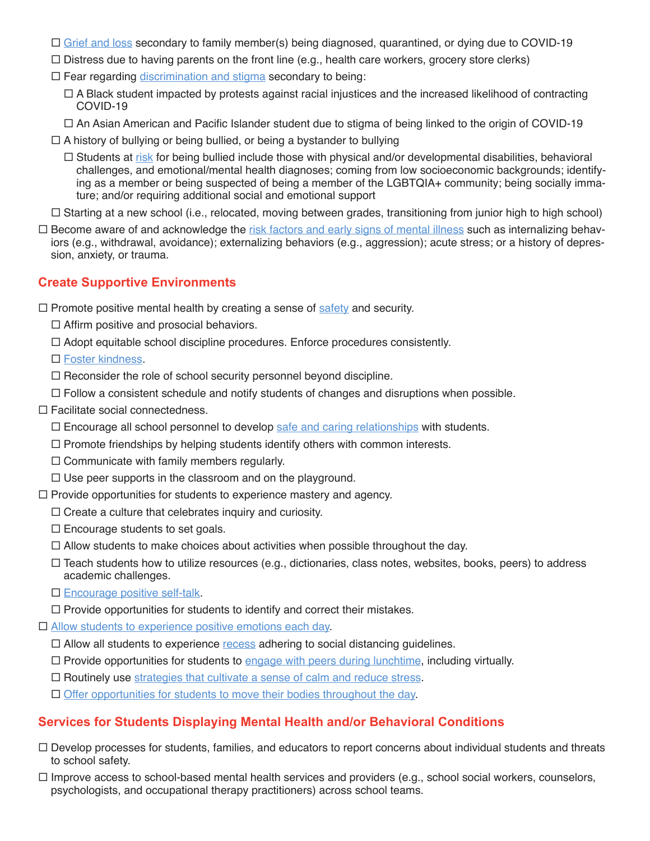- $\Box$  [Grief and loss](https://www.aota.org/~/media/Corporate/Files/Practice/Children/SchoolMHToolkit/Grief%20and%20Loss%20Final.PDF) secondary to family member(s) being diagnosed, quarantined, or dying due to COVID-19
- $\Box$  Distress due to having parents on the front line (e.g., health care workers, grocery store clerks)
- $\Box$  Fear regarding [discrimination and stigma](https://www2.ed.gov/about/offices/list/ocr/docs/ocr-coronavirus-fact-sheet.pdf) secondary to being:
	- $\Box$  A Black student impacted by protests against racial injustices and the increased likelihood of contracting COVID-19
	- $\Box$  An Asian American and Pacific Islander student due to stigma of being linked to the origin of COVID-19
- $\Box$  A history of bullying or being bullied, or being a bystander to bullying
	- $\Box$  Students at [risk](https://www.aota.org/~/media/Corporate/Files/Practice/Children/SchoolMHToolkit/BullyingPreventionInfoSheet.pdf) for being bullied include those with physical and/or developmental disabilities, behavioral challenges, and emotional/mental health diagnoses; coming from low socioeconomic backgrounds; identifying as a member or being suspected of being a member of the LGBTQIA+ community; being socially immature; and/or requiring additional social and emotional support
- $\Box$  Starting at a new school (i.e., relocated, moving between grades, transitioning from junior high to high school)
- $\Box$  Become aware of and acknowledge the [risk factors and early signs of mental illness](https://www.aota.org/~/media/Corporate/Files/Publications/CE-Articles/CE-Article-March-2017.pd) such as internalizing behaviors (e.g., withdrawal, avoidance); externalizing behaviors (e.g., aggression); acute stress; or a history of depression, anxiety, or trauma.

## **Create Supportive Environments**

 $\Box$  Promote positive mental health by creating a sense of [safety](https://www.edutopia.org/blog/20-tips-create-safe-learning-environment-rebecca-alber) and security.

- $\Box$  Affirm positive and prosocial behaviors.
- $\Box$  Adopt equitable school discipline procedures. Enforce procedures consistently.
- □ [Foster kindness](https://everymomentcounts.org/view.php?nav_id=176).
- $\Box$  Reconsider the role of school security personnel beyond discipline.
- $\Box$  Follow a consistent schedule and notify students of changes and disruptions when possible.
- $\Box$  Facilitate social connectedness.
	- $\Box$  Encourage all school personnel to develop [safe and caring relationships](https://everymomentcounts.org/view.php?nav_id=168) with students.
	- $\Box$  Promote friendships by helping students identify others with common interests.
	- $\Box$  Communicate with family members regularly.
	- $\Box$  Use peer supports in the classroom and on the playground.
- $\Box$  Provide opportunities for students to experience mastery and agency.
	- $\Box$  Create a culture that celebrates inquiry and curiosity.
	- $\square$  Encourage students to set goals.
	- $\Box$  Allow students to make choices about activities when possible throughout the day.
	- $\Box$  Teach students how to utilize resources (e.g., dictionaries, class notes, websites, books, peers) to address academic challenges.
	- □ [Encourage positive self-talk](https://everymomentcounts.org/view.php?nav_id=175).
	- $\Box$  Provide opportunities for students to identify and correct their mistakes.
- □ [Allow students to experience positive emotions each day](https://everymomentcounts.org/view.php?nav_id=170).
	- $\Box$  Allow all students to experience [recess](https://www.aota.org/~/media/Corporate/Files/Practice/Children/SchoolMHToolkit/Recess%20Promotion.pdf) adhering to social distancing quidelines.
	- $\Box$  Provide opportunities for students to [engage with peers during lunchtime,](https://www.aota.org/~/media/Corporate/Files/Practice/Children/Cafeteria-Mealtime-Info-Sheet.pdf) including virtually.
	- $\Box$  Routinely use [strategies that cultivate a sense of calm and reduce stress.](https://everymomentcounts.org/view.php?nav_id=170)
	- $\Box$  [Offer opportunities for students to move their bodies throughout the day](https://everymomentcounts.org/view.php?nav_id=172).

### **Services for Students Displaying Mental Health and/or Behavioral Conditions**

- $\Box$  Develop processes for students, families, and educators to report concerns about individual students and threats to school safety.
- $\Box$  Improve access to school-based mental health services and providers (e.g., school social workers, counselors, psychologists, and occupational therapy practitioners) across school teams.